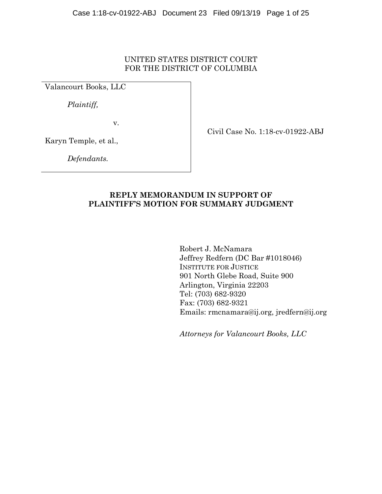# UNITED STATES DISTRICT COURT FOR THE DISTRICT OF COLUMBIA

Valancourt Books, LLC

 *Plaintiff,* 

v.

Civil Case No. 1:18-cv-01922-ABJ

Karyn Temple, et al.,

 *Defendants.* 

# **REPLY MEMORANDUM IN SUPPORT OF PLAINTIFF'S MOTION FOR SUMMARY JUDGMENT**

Robert J. McNamara Jeffrey Redfern (DC Bar #1018046) INSTITUTE FOR JUSTICE 901 North Glebe Road, Suite 900 Arlington, Virginia 22203 Tel: (703) 682-9320 Fax: (703) 682-9321 Emails: rmcnamara@ij.org, jredfern@ij.org

*Attorneys for Valancourt Books, LLC*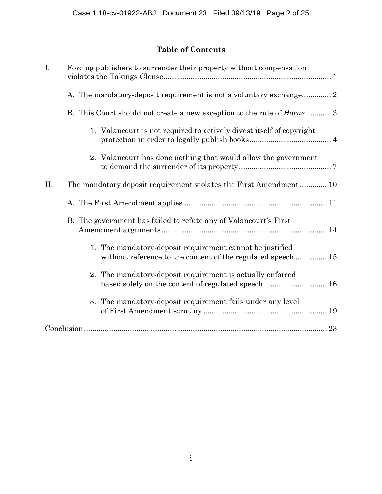# **Table of Contents**

| I.  | Forcing publishers to surrender their property without compensation                                                      |
|-----|--------------------------------------------------------------------------------------------------------------------------|
|     | A. The mandatory-deposit requirement is not a voluntary exchange 2                                                       |
|     | B. This Court should not create a new exception to the rule of <i>Horne</i> 3                                            |
|     | 1. Valancourt is not required to actively divest itself of copyright                                                     |
|     | 2. Valancourt has done nothing that would allow the government                                                           |
| II. | The mandatory deposit requirement violates the First Amendment 10                                                        |
|     |                                                                                                                          |
|     | B. The government has failed to refute any of Valancourt's First                                                         |
|     | 1. The mandatory-deposit requirement cannot be justified<br>without reference to the content of the regulated speech  15 |
|     | The mandatory-deposit requirement is actually enforced<br>2.<br>based solely on the content of regulated speech  16      |
|     | 3. The mandatory-deposit requirement fails under any level                                                               |
|     |                                                                                                                          |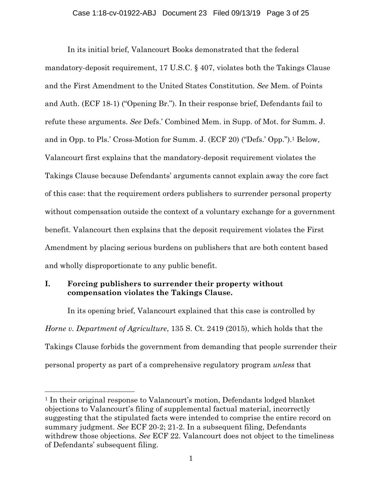In its initial brief, Valancourt Books demonstrated that the federal mandatory-deposit requirement, 17 U.S.C. § 407, violates both the Takings Clause and the First Amendment to the United States Constitution. *See* Mem. of Points and Auth. (ECF 18-1) ("Opening Br."). In their response brief, Defendants fail to refute these arguments. *See* Defs.' Combined Mem. in Supp. of Mot. for Summ. J. and in Opp. to Pls.' Cross-Motion for Summ. J. (ECF 20) ("Defs.' Opp.").1 Below, Valancourt first explains that the mandatory-deposit requirement violates the Takings Clause because Defendants' arguments cannot explain away the core fact of this case: that the requirement orders publishers to surrender personal property without compensation outside the context of a voluntary exchange for a government benefit. Valancourt then explains that the deposit requirement violates the First Amendment by placing serious burdens on publishers that are both content based and wholly disproportionate to any public benefit.

## **I. Forcing publishers to surrender their property without compensation violates the Takings Clause.**

l

In its opening brief, Valancourt explained that this case is controlled by *Horne v. Department of Agriculture*, 135 S. Ct. 2419 (2015), which holds that the Takings Clause forbids the government from demanding that people surrender their personal property as part of a comprehensive regulatory program *unless* that

<sup>1</sup> In their original response to Valancourt's motion, Defendants lodged blanket objections to Valancourt's filing of supplemental factual material, incorrectly suggesting that the stipulated facts were intended to comprise the entire record on summary judgment. *See* ECF 20-2; 21-2. In a subsequent filing, Defendants withdrew those objections. *See* ECF 22. Valancourt does not object to the timeliness of Defendants' subsequent filing.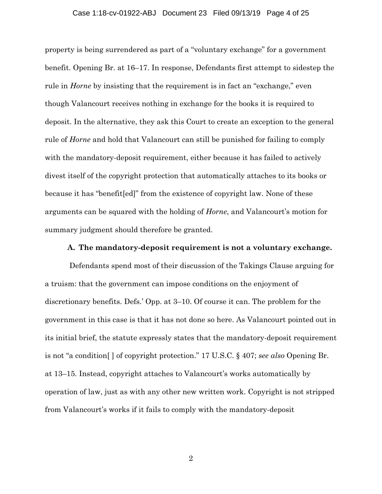### Case 1:18-cv-01922-ABJ Document 23 Filed 09/13/19 Page 4 of 25

property is being surrendered as part of a "voluntary exchange" for a government benefit. Opening Br. at 16–17. In response, Defendants first attempt to sidestep the rule in *Horne* by insisting that the requirement is in fact an "exchange," even though Valancourt receives nothing in exchange for the books it is required to deposit. In the alternative, they ask this Court to create an exception to the general rule of *Horne* and hold that Valancourt can still be punished for failing to comply with the mandatory-deposit requirement, either because it has failed to actively divest itself of the copyright protection that automatically attaches to its books or because it has "benefit[ed]" from the existence of copyright law. None of these arguments can be squared with the holding of *Horne*, and Valancourt's motion for summary judgment should therefore be granted.

### **A. The mandatory-deposit requirement is not a voluntary exchange.**

 Defendants spend most of their discussion of the Takings Clause arguing for a truism: that the government can impose conditions on the enjoyment of discretionary benefits. Defs.' Opp. at 3–10. Of course it can. The problem for the government in this case is that it has not done so here. As Valancourt pointed out in its initial brief, the statute expressly states that the mandatory-deposit requirement is not "a condition[ ] of copyright protection." 17 U.S.C. § 407; *see also* Opening Br. at 13–15. Instead, copyright attaches to Valancourt's works automatically by operation of law, just as with any other new written work. Copyright is not stripped from Valancourt's works if it fails to comply with the mandatory-deposit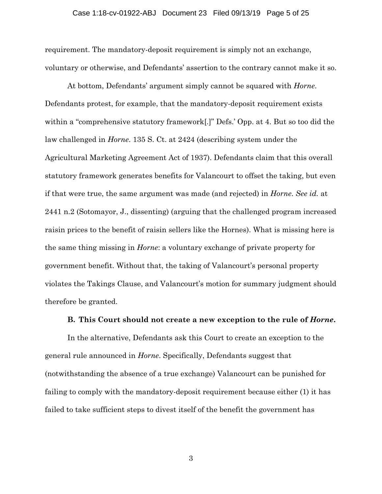### Case 1:18-cv-01922-ABJ Document 23 Filed 09/13/19 Page 5 of 25

requirement. The mandatory-deposit requirement is simply not an exchange, voluntary or otherwise, and Defendants' assertion to the contrary cannot make it so.

At bottom, Defendants' argument simply cannot be squared with *Horne*. Defendants protest, for example, that the mandatory-deposit requirement exists within a "comprehensive statutory framework[.]" Defs.' Opp. at 4. But so too did the law challenged in *Horne*. 135 S. Ct. at 2424 (describing system under the Agricultural Marketing Agreement Act of 1937). Defendants claim that this overall statutory framework generates benefits for Valancourt to offset the taking, but even if that were true, the same argument was made (and rejected) in *Horne*. *See id.* at 2441 n.2 (Sotomayor, J., dissenting) (arguing that the challenged program increased raisin prices to the benefit of raisin sellers like the Hornes). What is missing here is the same thing missing in *Horne*: a voluntary exchange of private property for government benefit. Without that, the taking of Valancourt's personal property violates the Takings Clause, and Valancourt's motion for summary judgment should therefore be granted.

### **B. This Court should not create a new exception to the rule of** *Horne***.**

In the alternative, Defendants ask this Court to create an exception to the general rule announced in *Horne*. Specifically, Defendants suggest that (notwithstanding the absence of a true exchange) Valancourt can be punished for failing to comply with the mandatory-deposit requirement because either (1) it has failed to take sufficient steps to divest itself of the benefit the government has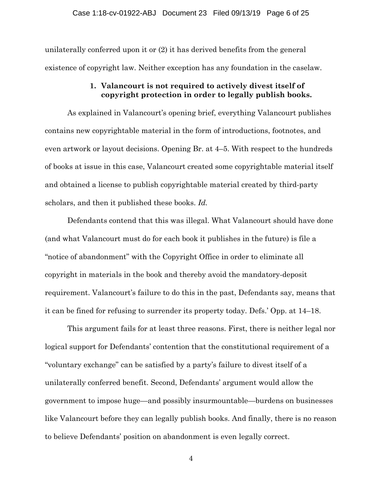unilaterally conferred upon it or (2) it has derived benefits from the general existence of copyright law. Neither exception has any foundation in the caselaw.

### **1. Valancourt is not required to actively divest itself of copyright protection in order to legally publish books.**

As explained in Valancourt's opening brief, everything Valancourt publishes contains new copyrightable material in the form of introductions, footnotes, and even artwork or layout decisions. Opening Br. at 4–5. With respect to the hundreds of books at issue in this case, Valancourt created some copyrightable material itself and obtained a license to publish copyrightable material created by third-party scholars, and then it published these books. *Id.* 

Defendants contend that this was illegal. What Valancourt should have done (and what Valancourt must do for each book it publishes in the future) is file a "notice of abandonment" with the Copyright Office in order to eliminate all copyright in materials in the book and thereby avoid the mandatory-deposit requirement. Valancourt's failure to do this in the past, Defendants say, means that it can be fined for refusing to surrender its property today. Defs.' Opp. at 14–18.

This argument fails for at least three reasons. First, there is neither legal nor logical support for Defendants' contention that the constitutional requirement of a "voluntary exchange" can be satisfied by a party's failure to divest itself of a unilaterally conferred benefit. Second, Defendants' argument would allow the government to impose huge—and possibly insurmountable—burdens on businesses like Valancourt before they can legally publish books. And finally, there is no reason to believe Defendants' position on abandonment is even legally correct.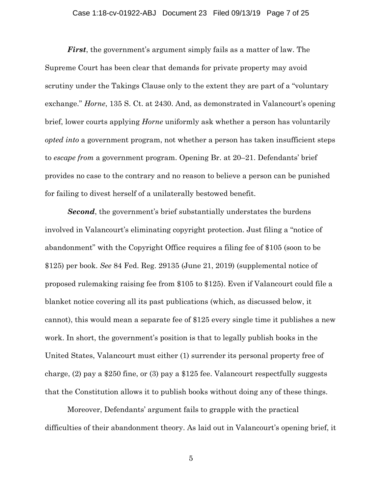### Case 1:18-cv-01922-ABJ Document 23 Filed 09/13/19 Page 7 of 25

*First*, the government's argument simply fails as a matter of law. The Supreme Court has been clear that demands for private property may avoid scrutiny under the Takings Clause only to the extent they are part of a "voluntary exchange." *Horne*, 135 S. Ct. at 2430. And, as demonstrated in Valancourt's opening brief, lower courts applying *Horne* uniformly ask whether a person has voluntarily *opted into* a government program, not whether a person has taken insufficient steps to *escape from* a government program. Opening Br. at 20–21. Defendants' brief provides no case to the contrary and no reason to believe a person can be punished for failing to divest herself of a unilaterally bestowed benefit.

*Second*, the government's brief substantially understates the burdens involved in Valancourt's eliminating copyright protection. Just filing a "notice of abandonment" with the Copyright Office requires a filing fee of \$105 (soon to be \$125) per book. *See* 84 Fed. Reg. 29135 (June 21, 2019) (supplemental notice of proposed rulemaking raising fee from \$105 to \$125). Even if Valancourt could file a blanket notice covering all its past publications (which, as discussed below, it cannot), this would mean a separate fee of \$125 every single time it publishes a new work. In short, the government's position is that to legally publish books in the United States, Valancourt must either (1) surrender its personal property free of charge, (2) pay a \$250 fine, or (3) pay a \$125 fee. Valancourt respectfully suggests that the Constitution allows it to publish books without doing any of these things.

Moreover, Defendants' argument fails to grapple with the practical difficulties of their abandonment theory. As laid out in Valancourt's opening brief, it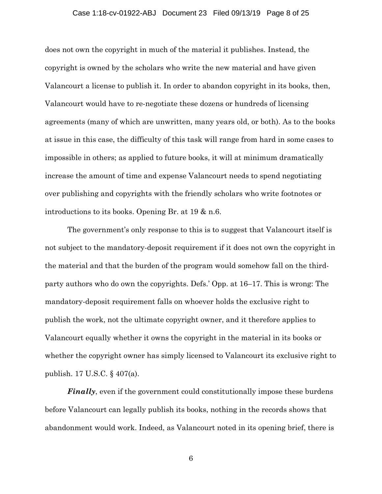### Case 1:18-cv-01922-ABJ Document 23 Filed 09/13/19 Page 8 of 25

does not own the copyright in much of the material it publishes. Instead, the copyright is owned by the scholars who write the new material and have given Valancourt a license to publish it. In order to abandon copyright in its books, then, Valancourt would have to re-negotiate these dozens or hundreds of licensing agreements (many of which are unwritten, many years old, or both). As to the books at issue in this case, the difficulty of this task will range from hard in some cases to impossible in others; as applied to future books, it will at minimum dramatically increase the amount of time and expense Valancourt needs to spend negotiating over publishing and copyrights with the friendly scholars who write footnotes or introductions to its books. Opening Br. at 19 & n.6.

The government's only response to this is to suggest that Valancourt itself is not subject to the mandatory-deposit requirement if it does not own the copyright in the material and that the burden of the program would somehow fall on the thirdparty authors who do own the copyrights. Defs.' Opp. at 16–17. This is wrong: The mandatory-deposit requirement falls on whoever holds the exclusive right to publish the work, not the ultimate copyright owner, and it therefore applies to Valancourt equally whether it owns the copyright in the material in its books or whether the copyright owner has simply licensed to Valancourt its exclusive right to publish. 17 U.S.C. § 407(a).

*Finally*, even if the government could constitutionally impose these burdens before Valancourt can legally publish its books, nothing in the records shows that abandonment would work. Indeed, as Valancourt noted in its opening brief, there is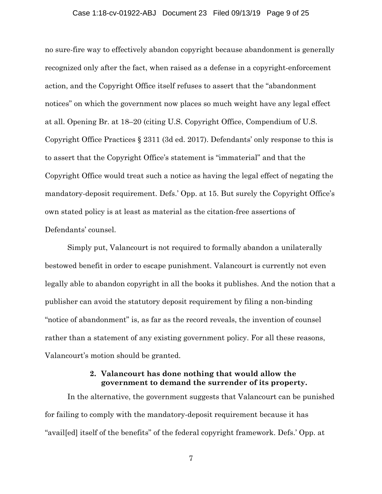### Case 1:18-cv-01922-ABJ Document 23 Filed 09/13/19 Page 9 of 25

no sure-fire way to effectively abandon copyright because abandonment is generally recognized only after the fact, when raised as a defense in a copyright-enforcement action, and the Copyright Office itself refuses to assert that the "abandonment notices" on which the government now places so much weight have any legal effect at all. Opening Br. at 18–20 (citing U.S. Copyright Office, Compendium of U.S. Copyright Office Practices § 2311 (3d ed. 2017). Defendants' only response to this is to assert that the Copyright Office's statement is "immaterial" and that the Copyright Office would treat such a notice as having the legal effect of negating the mandatory-deposit requirement. Defs.' Opp. at 15. But surely the Copyright Office's own stated policy is at least as material as the citation-free assertions of Defendants' counsel.

Simply put, Valancourt is not required to formally abandon a unilaterally bestowed benefit in order to escape punishment. Valancourt is currently not even legally able to abandon copyright in all the books it publishes. And the notion that a publisher can avoid the statutory deposit requirement by filing a non-binding "notice of abandonment" is, as far as the record reveals, the invention of counsel rather than a statement of any existing government policy. For all these reasons, Valancourt's motion should be granted.

### **2. Valancourt has done nothing that would allow the government to demand the surrender of its property.**

In the alternative, the government suggests that Valancourt can be punished for failing to comply with the mandatory-deposit requirement because it has "avail[ed] itself of the benefits" of the federal copyright framework. Defs.' Opp. at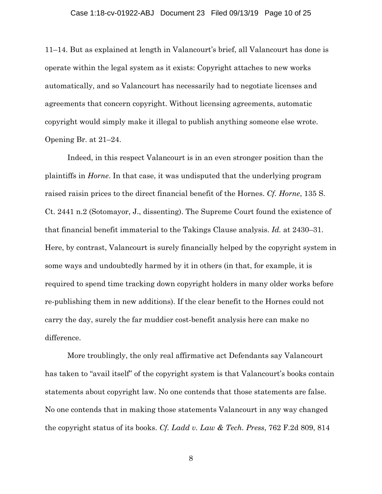#### Case 1:18-cv-01922-ABJ Document 23 Filed 09/13/19 Page 10 of 25

11–14. But as explained at length in Valancourt's brief, all Valancourt has done is operate within the legal system as it exists: Copyright attaches to new works automatically, and so Valancourt has necessarily had to negotiate licenses and agreements that concern copyright. Without licensing agreements, automatic copyright would simply make it illegal to publish anything someone else wrote. Opening Br. at 21–24.

Indeed, in this respect Valancourt is in an even stronger position than the plaintiffs in *Horne*. In that case, it was undisputed that the underlying program raised raisin prices to the direct financial benefit of the Hornes. *Cf. Horne*, 135 S. Ct. 2441 n.2 (Sotomayor, J., dissenting). The Supreme Court found the existence of that financial benefit immaterial to the Takings Clause analysis. *Id.* at 2430–31. Here, by contrast, Valancourt is surely financially helped by the copyright system in some ways and undoubtedly harmed by it in others (in that, for example, it is required to spend time tracking down copyright holders in many older works before re-publishing them in new additions). If the clear benefit to the Hornes could not carry the day, surely the far muddier cost-benefit analysis here can make no difference.

More troublingly, the only real affirmative act Defendants say Valancourt has taken to "avail itself" of the copyright system is that Valancourt's books contain statements about copyright law. No one contends that those statements are false. No one contends that in making those statements Valancourt in any way changed the copyright status of its books. *Cf. Ladd v. Law & Tech. Press*, 762 F.2d 809, 814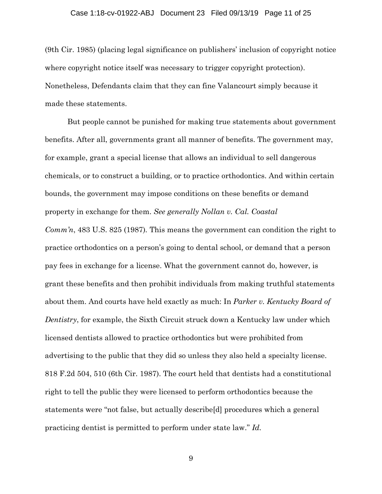#### Case 1:18-cv-01922-ABJ Document 23 Filed 09/13/19 Page 11 of 25

(9th Cir. 1985) (placing legal significance on publishers' inclusion of copyright notice where copyright notice itself was necessary to trigger copyright protection). Nonetheless, Defendants claim that they can fine Valancourt simply because it made these statements.

But people cannot be punished for making true statements about government benefits. After all, governments grant all manner of benefits. The government may, for example, grant a special license that allows an individual to sell dangerous chemicals, or to construct a building, or to practice orthodontics. And within certain bounds, the government may impose conditions on these benefits or demand property in exchange for them. *See generally Nollan v. Cal. Coastal Comm'n*, 483 U.S. 825 (1987)*.* This means the government can condition the right to practice orthodontics on a person's going to dental school, or demand that a person pay fees in exchange for a license. What the government cannot do, however, is grant these benefits and then prohibit individuals from making truthful statements about them. And courts have held exactly as much: In *Parker v. Kentucky Board of Dentistry*, for example, the Sixth Circuit struck down a Kentucky law under which licensed dentists allowed to practice orthodontics but were prohibited from advertising to the public that they did so unless they also held a specialty license. 818 F.2d 504, 510 (6th Cir. 1987). The court held that dentists had a constitutional right to tell the public they were licensed to perform orthodontics because the statements were "not false, but actually describe[d] procedures which a general practicing dentist is permitted to perform under state law." *Id.*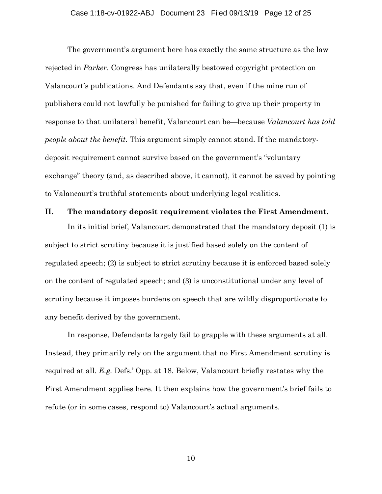#### Case 1:18-cv-01922-ABJ Document 23 Filed 09/13/19 Page 12 of 25

The government's argument here has exactly the same structure as the law rejected in *Parker*. Congress has unilaterally bestowed copyright protection on Valancourt's publications. And Defendants say that, even if the mine run of publishers could not lawfully be punished for failing to give up their property in response to that unilateral benefit, Valancourt can be—because *Valancourt has told people about the benefit*. This argument simply cannot stand. If the mandatorydeposit requirement cannot survive based on the government's "voluntary exchange" theory (and, as described above, it cannot), it cannot be saved by pointing to Valancourt's truthful statements about underlying legal realities.

### **II. The mandatory deposit requirement violates the First Amendment.**

In its initial brief, Valancourt demonstrated that the mandatory deposit (1) is subject to strict scrutiny because it is justified based solely on the content of regulated speech; (2) is subject to strict scrutiny because it is enforced based solely on the content of regulated speech; and (3) is unconstitutional under any level of scrutiny because it imposes burdens on speech that are wildly disproportionate to any benefit derived by the government.

In response, Defendants largely fail to grapple with these arguments at all. Instead, they primarily rely on the argument that no First Amendment scrutiny is required at all. *E.g.* Defs.' Opp. at 18. Below, Valancourt briefly restates why the First Amendment applies here. It then explains how the government's brief fails to refute (or in some cases, respond to) Valancourt's actual arguments.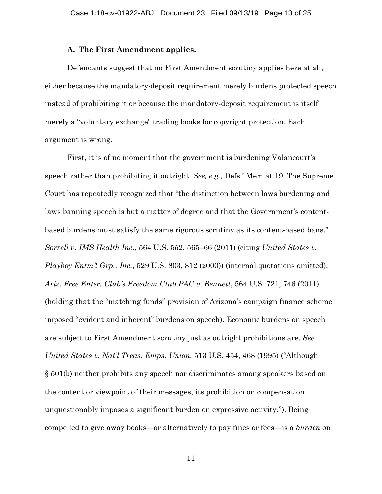### **A. The First Amendment applies.**

Defendants suggest that no First Amendment scrutiny applies here at all, either because the mandatory-deposit requirement merely burdens protected speech instead of prohibiting it or because the mandatory-deposit requirement is itself merely a "voluntary exchange" trading books for copyright protection. Each argument is wrong.

First, it is of no moment that the government is burdening Valancourt's speech rather than prohibiting it outright. *See, e.g.,* Defs.' Mem at 19. The Supreme Court has repeatedly recognized that "the distinction between laws burdening and laws banning speech is but a matter of degree and that the Government's contentbased burdens must satisfy the same rigorous scrutiny as its content-based bans." *Sorrell v. IMS Health Inc.*, 564 U.S. 552, 565–66 (2011) (citing *United States v. Playboy Entm't Grp., Inc.*, 529 U.S. 803, 812 (2000)) (internal quotations omitted); *Ariz. Free Enter. Club's Freedom Club PAC v. Bennett*, 564 U.S. 721, 746 (2011) (holding that the "matching funds" provision of Arizona's campaign finance scheme imposed "evident and inherent" burdens on speech). Economic burdens on speech are subject to First Amendment scrutiny just as outright prohibitions are. *See United States v. Nat'l Treas. Emps. Union*, 513 U.S. 454, 468 (1995) ("Although § 501(b) neither prohibits any speech nor discriminates among speakers based on the content or viewpoint of their messages, its prohibition on compensation unquestionably imposes a significant burden on expressive activity."). Being compelled to give away books—or alternatively to pay fines or fees—is a *burden* on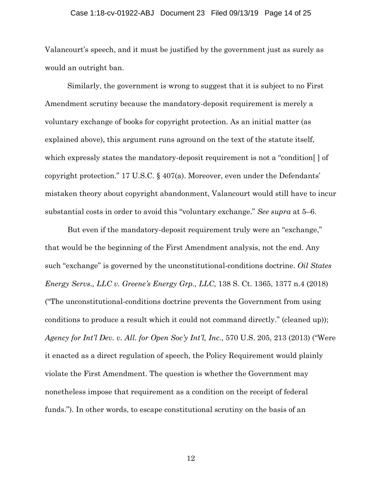#### Case 1:18-cv-01922-ABJ Document 23 Filed 09/13/19 Page 14 of 25

Valancourt's speech, and it must be justified by the government just as surely as would an outright ban.

Similarly, the government is wrong to suggest that it is subject to no First Amendment scrutiny because the mandatory-deposit requirement is merely a voluntary exchange of books for copyright protection. As an initial matter (as explained above), this argument runs aground on the text of the statute itself, which expressly states the mandatory-deposit requirement is not a "condition[ ] of copyright protection." 17 U.S.C. § 407(a). Moreover, even under the Defendants' mistaken theory about copyright abandonment, Valancourt would still have to incur substantial costs in order to avoid this "voluntary exchange." *See supra* at 5–6.

But even if the mandatory-deposit requirement truly were an "exchange," that would be the beginning of the First Amendment analysis, not the end. Any such "exchange" is governed by the unconstitutional-conditions doctrine. *Oil States Energy Servs., LLC v. Greene's Energy Grp., LLC*, 138 S. Ct. 1365, 1377 n.4 (2018) ("The unconstitutional-conditions doctrine prevents the Government from using conditions to produce a result which it could not command directly." (cleaned up)); *Agency for Int'l Dev. v. All. for Open Soc'y Int'l, Inc.*, 570 U.S. 205, 213 (2013) ("Were it enacted as a direct regulation of speech, the Policy Requirement would plainly violate the First Amendment. The question is whether the Government may nonetheless impose that requirement as a condition on the receipt of federal funds."). In other words, to escape constitutional scrutiny on the basis of an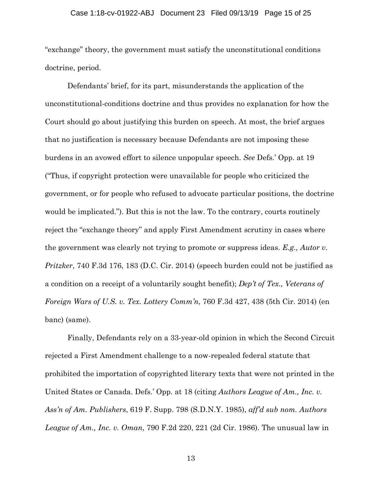#### Case 1:18-cv-01922-ABJ Document 23 Filed 09/13/19 Page 15 of 25

"exchange" theory, the government must satisfy the unconstitutional conditions doctrine, period.

Defendants' brief, for its part, misunderstands the application of the unconstitutional-conditions doctrine and thus provides no explanation for how the Court should go about justifying this burden on speech. At most, the brief argues that no justification is necessary because Defendants are not imposing these burdens in an avowed effort to silence unpopular speech. *See* Defs.' Opp. at 19 ("Thus, if copyright protection were unavailable for people who criticized the government, or for people who refused to advocate particular positions, the doctrine would be implicated."). But this is not the law. To the contrary, courts routinely reject the "exchange theory" and apply First Amendment scrutiny in cases where the government was clearly not trying to promote or suppress ideas. *E.g., Autor v. Pritzker*, 740 F.3d 176, 183 (D.C. Cir. 2014) (speech burden could not be justified as a condition on a receipt of a voluntarily sought benefit); *Dep't of Tex., Veterans of Foreign Wars of U.S. v. Tex. Lottery Comm'n*, 760 F.3d 427, 438 (5th Cir. 2014) (en banc) (same).

Finally, Defendants rely on a 33-year-old opinion in which the Second Circuit rejected a First Amendment challenge to a now-repealed federal statute that prohibited the importation of copyrighted literary texts that were not printed in the United States or Canada. Defs.' Opp. at 18 (citing *Authors League of Am., Inc. v. Ass'n of Am. Publishers*, 619 F. Supp. 798 (S.D.N.Y. 1985), *aff'd sub nom. Authors League of Am., Inc. v. Oman*, 790 F.2d 220, 221 (2d Cir. 1986). The unusual law in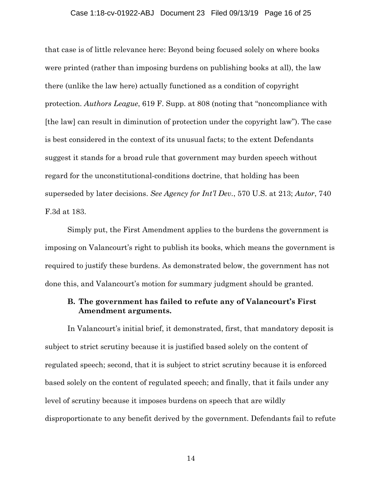#### Case 1:18-cv-01922-ABJ Document 23 Filed 09/13/19 Page 16 of 25

that case is of little relevance here: Beyond being focused solely on where books were printed (rather than imposing burdens on publishing books at all), the law there (unlike the law here) actually functioned as a condition of copyright protection. *Authors League*, 619 F. Supp. at 808 (noting that "noncompliance with [the law] can result in diminution of protection under the copyright law"). The case is best considered in the context of its unusual facts; to the extent Defendants suggest it stands for a broad rule that government may burden speech without regard for the unconstitutional-conditions doctrine, that holding has been superseded by later decisions. *See Agency for Int'l Dev.*, 570 U.S. at 213; *Autor*, 740 F.3d at 183.

Simply put, the First Amendment applies to the burdens the government is imposing on Valancourt's right to publish its books, which means the government is required to justify these burdens. As demonstrated below, the government has not done this, and Valancourt's motion for summary judgment should be granted.

### **B. The government has failed to refute any of Valancourt's First Amendment arguments.**

In Valancourt's initial brief, it demonstrated, first, that mandatory deposit is subject to strict scrutiny because it is justified based solely on the content of regulated speech; second, that it is subject to strict scrutiny because it is enforced based solely on the content of regulated speech; and finally, that it fails under any level of scrutiny because it imposes burdens on speech that are wildly disproportionate to any benefit derived by the government. Defendants fail to refute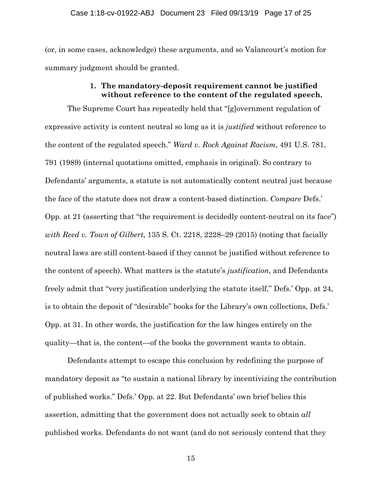(or, in some cases, acknowledge) these arguments, and so Valancourt's motion for summary judgment should be granted.

### **1. The mandatory-deposit requirement cannot be justified without reference to the content of the regulated speech.**

The Supreme Court has repeatedly held that "[g]overnment regulation of expressive activity is content neutral so long as it is *justified* without reference to the content of the regulated speech." *Ward v. Rock Against Racism*, 491 U.S. 781, 791 (1989) (internal quotations omitted, emphasis in original). So contrary to Defendants' arguments, a statute is not automatically content neutral just because the face of the statute does not draw a content-based distinction. *Compare* Defs.' Opp. at 21 (asserting that "the requirement is decidedly content-neutral on its face") *with Reed v. Town of Gilbert*, 135 S. Ct. 2218, 2228–29 (2015) (noting that facially neutral laws are still content-based if they cannot be justified without reference to the content of speech). What matters is the statute's *justification*, and Defendants freely admit that "very justification underlying the statute itself," Defs.' Opp. at 24, is to obtain the deposit of "desirable" books for the Library's own collections, Defs.' Opp. at 31. In other words, the justification for the law hinges entirely on the quality—that is, the content—of the books the government wants to obtain.

Defendants attempt to escape this conclusion by redefining the purpose of mandatory deposit as "to sustain a national library by incentivizing the contribution of published works." Defs.' Opp. at 22. But Defendants' own brief belies this assertion, admitting that the government does not actually seek to obtain *all*  published works. Defendants do not want (and do not seriously contend that they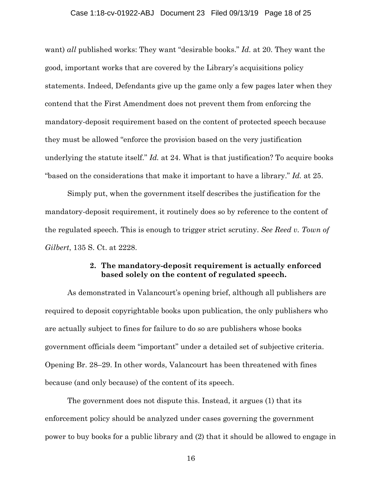#### Case 1:18-cv-01922-ABJ Document 23 Filed 09/13/19 Page 18 of 25

want) *all* published works: They want "desirable books." *Id.* at 20. They want the good, important works that are covered by the Library's acquisitions policy statements. Indeed, Defendants give up the game only a few pages later when they contend that the First Amendment does not prevent them from enforcing the mandatory-deposit requirement based on the content of protected speech because they must be allowed "enforce the provision based on the very justification underlying the statute itself." *Id.* at 24. What is that justification? To acquire books "based on the considerations that make it important to have a library." *Id.* at 25.

Simply put, when the government itself describes the justification for the mandatory-deposit requirement, it routinely does so by reference to the content of the regulated speech. This is enough to trigger strict scrutiny. *See Reed v. Town of Gilbert*, 135 S. Ct. at 2228.

### **2. The mandatory-deposit requirement is actually enforced based solely on the content of regulated speech.**

As demonstrated in Valancourt's opening brief, although all publishers are required to deposit copyrightable books upon publication, the only publishers who are actually subject to fines for failure to do so are publishers whose books government officials deem "important" under a detailed set of subjective criteria. Opening Br. 28–29. In other words, Valancourt has been threatened with fines because (and only because) of the content of its speech.

The government does not dispute this. Instead, it argues (1) that its enforcement policy should be analyzed under cases governing the government power to buy books for a public library and (2) that it should be allowed to engage in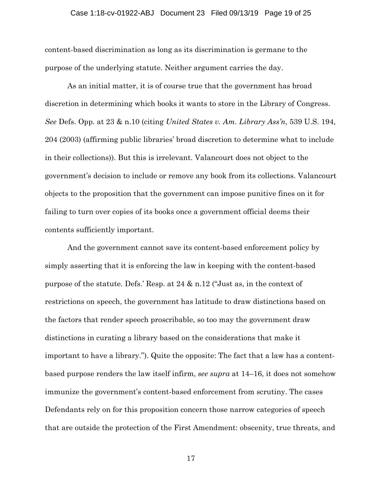#### Case 1:18-cv-01922-ABJ Document 23 Filed 09/13/19 Page 19 of 25

content-based discrimination as long as its discrimination is germane to the purpose of the underlying statute. Neither argument carries the day.

As an initial matter, it is of course true that the government has broad discretion in determining which books it wants to store in the Library of Congress. *See* Defs. Opp. at 23 & n.10 (citing *United States v. Am. Library Ass'n*, 539 U.S. 194, 204 (2003) (affirming public libraries' broad discretion to determine what to include in their collections)). But this is irrelevant. Valancourt does not object to the government's decision to include or remove any book from its collections. Valancourt objects to the proposition that the government can impose punitive fines on it for failing to turn over copies of its books once a government official deems their contents sufficiently important.

And the government cannot save its content-based enforcement policy by simply asserting that it is enforcing the law in keeping with the content-based purpose of the statute. Defs.' Resp. at 24 & n.12 ("Just as, in the context of restrictions on speech, the government has latitude to draw distinctions based on the factors that render speech proscribable, so too may the government draw distinctions in curating a library based on the considerations that make it important to have a library."). Quite the opposite: The fact that a law has a contentbased purpose renders the law itself infirm, *see supra* at 14–16, it does not somehow immunize the government's content-based enforcement from scrutiny. The cases Defendants rely on for this proposition concern those narrow categories of speech that are outside the protection of the First Amendment: obscenity, true threats, and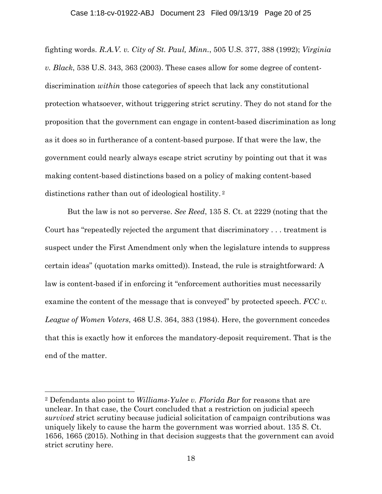### Case 1:18-cv-01922-ABJ Document 23 Filed 09/13/19 Page 20 of 25

fighting words. *R.A.V. v. City of St. Paul, Minn.*, 505 U.S. 377, 388 (1992); *Virginia v. Black*, 538 U.S. 343, 363 (2003). These cases allow for some degree of contentdiscrimination *within* those categories of speech that lack any constitutional protection whatsoever, without triggering strict scrutiny. They do not stand for the proposition that the government can engage in content-based discrimination as long as it does so in furtherance of a content-based purpose. If that were the law, the government could nearly always escape strict scrutiny by pointing out that it was making content-based distinctions based on a policy of making content-based distinctions rather than out of ideological hostility. 2

But the law is not so perverse. *See Reed*, 135 S. Ct. at 2229 (noting that the Court has "repeatedly rejected the argument that discriminatory . . . treatment is suspect under the First Amendment only when the legislature intends to suppress certain ideas" (quotation marks omitted)). Instead, the rule is straightforward: A law is content-based if in enforcing it "enforcement authorities must necessarily examine the content of the message that is conveyed" by protected speech. *FCC v. League of Women Voters*, 468 U.S. 364, 383 (1984). Here, the government concedes that this is exactly how it enforces the mandatory-deposit requirement. That is the end of the matter.

l

<sup>2</sup> Defendants also point to *Williams-Yulee v. Florida Bar* for reasons that are unclear. In that case, the Court concluded that a restriction on judicial speech *survived* strict scrutiny because judicial solicitation of campaign contributions was uniquely likely to cause the harm the government was worried about. 135 S. Ct. 1656, 1665 (2015). Nothing in that decision suggests that the government can avoid strict scrutiny here.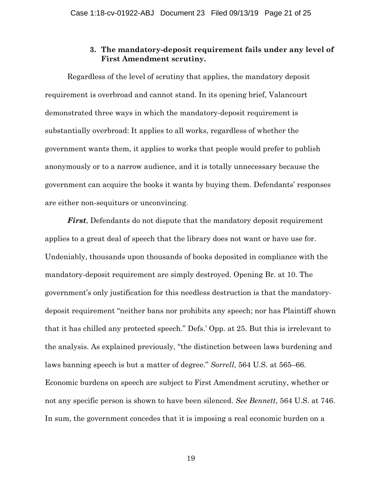### **3. The mandatory-deposit requirement fails under any level of First Amendment scrutiny.**

Regardless of the level of scrutiny that applies, the mandatory deposit requirement is overbroad and cannot stand. In its opening brief, Valancourt demonstrated three ways in which the mandatory-deposit requirement is substantially overbroad: It applies to all works, regardless of whether the government wants them, it applies to works that people would prefer to publish anonymously or to a narrow audience, and it is totally unnecessary because the government can acquire the books it wants by buying them. Defendants' responses are either non-sequiturs or unconvincing.

*First*, Defendants do not dispute that the mandatory deposit requirement applies to a great deal of speech that the library does not want or have use for. Undeniably, thousands upon thousands of books deposited in compliance with the mandatory-deposit requirement are simply destroyed. Opening Br. at 10. The government's only justification for this needless destruction is that the mandatorydeposit requirement "neither bans nor prohibits any speech; nor has Plaintiff shown that it has chilled any protected speech." Defs.' Opp. at 25. But this is irrelevant to the analysis. As explained previously, "the distinction between laws burdening and laws banning speech is but a matter of degree." *Sorrell*, 564 U.S. at 565–66. Economic burdens on speech are subject to First Amendment scrutiny, whether or not any specific person is shown to have been silenced. *See Bennett*, 564 U.S. at 746. In sum, the government concedes that it is imposing a real economic burden on a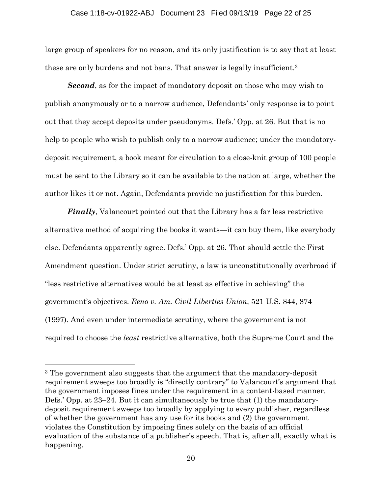### Case 1:18-cv-01922-ABJ Document 23 Filed 09/13/19 Page 22 of 25

large group of speakers for no reason, and its only justification is to say that at least these are only burdens and not bans. That answer is legally insufficient.3

*Second*, as for the impact of mandatory deposit on those who may wish to publish anonymously or to a narrow audience, Defendants' only response is to point out that they accept deposits under pseudonyms. Defs.' Opp. at 26. But that is no help to people who wish to publish only to a narrow audience; under the mandatorydeposit requirement, a book meant for circulation to a close-knit group of 100 people must be sent to the Library so it can be available to the nation at large, whether the author likes it or not. Again, Defendants provide no justification for this burden.

*Finally*, Valancourt pointed out that the Library has a far less restrictive alternative method of acquiring the books it wants—it can buy them, like everybody else. Defendants apparently agree. Defs.' Opp. at 26. That should settle the First Amendment question. Under strict scrutiny, a law is unconstitutionally overbroad if "less restrictive alternatives would be at least as effective in achieving" the government's objectives. *Reno v. Am. Civil Liberties Union*, 521 U.S. 844, 874 (1997). And even under intermediate scrutiny, where the government is not required to choose the *least* restrictive alternative, both the Supreme Court and the

 $\overline{a}$ 

<sup>3</sup> The government also suggests that the argument that the mandatory-deposit requirement sweeps too broadly is "directly contrary" to Valancourt's argument that the government imposes fines under the requirement in a content-based manner. Defs.' Opp. at 23–24. But it can simultaneously be true that (1) the mandatorydeposit requirement sweeps too broadly by applying to every publisher, regardless of whether the government has any use for its books and (2) the government violates the Constitution by imposing fines solely on the basis of an official evaluation of the substance of a publisher's speech. That is, after all, exactly what is happening.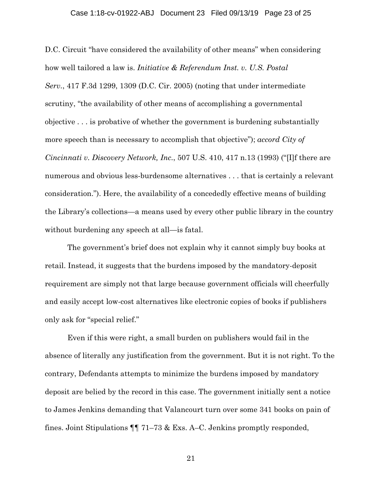#### Case 1:18-cv-01922-ABJ Document 23 Filed 09/13/19 Page 23 of 25

D.C. Circuit "have considered the availability of other means" when considering how well tailored a law is. *Initiative & Referendum Inst. v. U.S. Postal Serv.*, 417 F.3d 1299, 1309 (D.C. Cir. 2005) (noting that under intermediate scrutiny, "the availability of other means of accomplishing a governmental objective . . . is probative of whether the government is burdening substantially more speech than is necessary to accomplish that objective"); *accord City of Cincinnati v. Discovery Network, Inc.*, 507 U.S. 410, 417 n.13 (1993) ("[I]f there are numerous and obvious less-burdensome alternatives . . . that is certainly a relevant consideration."). Here, the availability of a concededly effective means of building the Library's collections—a means used by every other public library in the country without burdening any speech at all—is fatal.

The government's brief does not explain why it cannot simply buy books at retail. Instead, it suggests that the burdens imposed by the mandatory-deposit requirement are simply not that large because government officials will cheerfully and easily accept low-cost alternatives like electronic copies of books if publishers only ask for "special relief."

Even if this were right, a small burden on publishers would fail in the absence of literally any justification from the government. But it is not right. To the contrary, Defendants attempts to minimize the burdens imposed by mandatory deposit are belied by the record in this case. The government initially sent a notice to James Jenkins demanding that Valancourt turn over some 341 books on pain of fines. Joint Stipulations ¶¶ 71–73 & Exs. A–C. Jenkins promptly responded,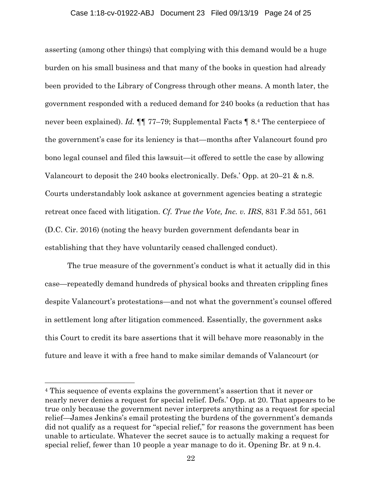### Case 1:18-cv-01922-ABJ Document 23 Filed 09/13/19 Page 24 of 25

asserting (among other things) that complying with this demand would be a huge burden on his small business and that many of the books in question had already been provided to the Library of Congress through other means. A month later, the government responded with a reduced demand for 240 books (a reduction that has never been explained). *Id.*  $\P\P$  77–79; Supplemental Facts  $\P$  8.4 The centerpiece of the government's case for its leniency is that—months after Valancourt found pro bono legal counsel and filed this lawsuit—it offered to settle the case by allowing Valancourt to deposit the 240 books electronically. Defs.' Opp. at 20–21 & n.8. Courts understandably look askance at government agencies beating a strategic retreat once faced with litigation. *Cf. True the Vote, Inc. v. IRS*, 831 F.3d 551, 561 (D.C. Cir. 2016) (noting the heavy burden government defendants bear in establishing that they have voluntarily ceased challenged conduct).

The true measure of the government's conduct is what it actually did in this case—repeatedly demand hundreds of physical books and threaten crippling fines despite Valancourt's protestations—and not what the government's counsel offered in settlement long after litigation commenced. Essentially, the government asks this Court to credit its bare assertions that it will behave more reasonably in the future and leave it with a free hand to make similar demands of Valancourt (or

 $\overline{a}$ 

<sup>4</sup> This sequence of events explains the government's assertion that it never or nearly never denies a request for special relief. Defs.' Opp. at 20. That appears to be true only because the government never interprets anything as a request for special relief—James Jenkins's email protesting the burdens of the government's demands did not qualify as a request for "special relief," for reasons the government has been unable to articulate. Whatever the secret sauce is to actually making a request for special relief, fewer than 10 people a year manage to do it. Opening Br. at 9 n.4.